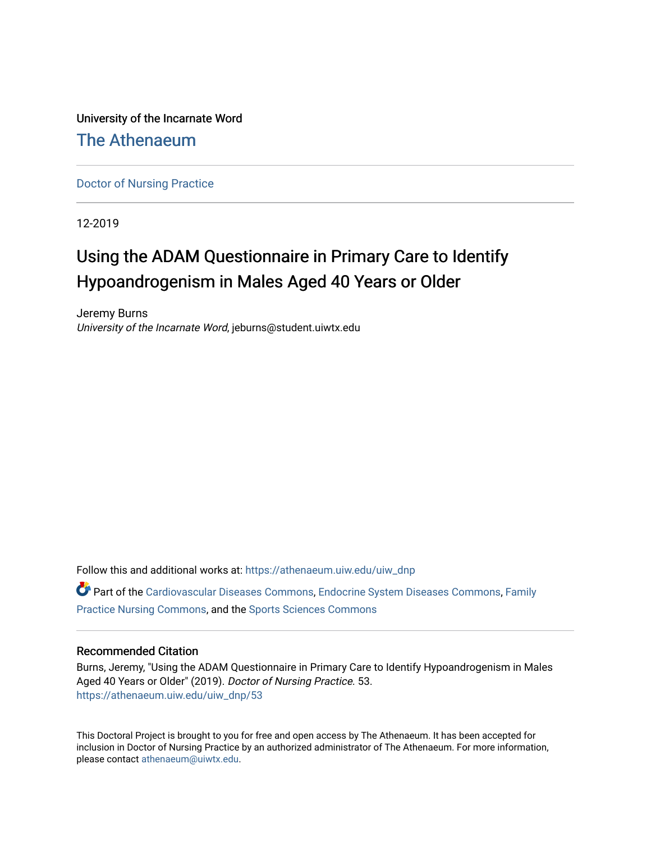University of the Incarnate Word

# [The Athenaeum](https://athenaeum.uiw.edu/)

[Doctor of Nursing Practice](https://athenaeum.uiw.edu/uiw_dnp)

12-2019

# Using the ADAM Questionnaire in Primary Care to Identify Hypoandrogenism in Males Aged 40 Years or Older

Jeremy Burns University of the Incarnate Word, jeburns@student.uiwtx.edu

Follow this and additional works at: [https://athenaeum.uiw.edu/uiw\\_dnp](https://athenaeum.uiw.edu/uiw_dnp?utm_source=athenaeum.uiw.edu%2Fuiw_dnp%2F53&utm_medium=PDF&utm_campaign=PDFCoverPages)  Part of the [Cardiovascular Diseases Commons](http://network.bepress.com/hgg/discipline/929?utm_source=athenaeum.uiw.edu%2Fuiw_dnp%2F53&utm_medium=PDF&utm_campaign=PDFCoverPages), [Endocrine System Diseases Commons](http://network.bepress.com/hgg/discipline/969?utm_source=athenaeum.uiw.edu%2Fuiw_dnp%2F53&utm_medium=PDF&utm_campaign=PDFCoverPages), [Family](http://network.bepress.com/hgg/discipline/720?utm_source=athenaeum.uiw.edu%2Fuiw_dnp%2F53&utm_medium=PDF&utm_campaign=PDFCoverPages)  [Practice Nursing Commons](http://network.bepress.com/hgg/discipline/720?utm_source=athenaeum.uiw.edu%2Fuiw_dnp%2F53&utm_medium=PDF&utm_campaign=PDFCoverPages), and the [Sports Sciences Commons](http://network.bepress.com/hgg/discipline/759?utm_source=athenaeum.uiw.edu%2Fuiw_dnp%2F53&utm_medium=PDF&utm_campaign=PDFCoverPages) 

# Recommended Citation

Burns, Jeremy, "Using the ADAM Questionnaire in Primary Care to Identify Hypoandrogenism in Males Aged 40 Years or Older" (2019). Doctor of Nursing Practice. 53. [https://athenaeum.uiw.edu/uiw\\_dnp/53](https://athenaeum.uiw.edu/uiw_dnp/53?utm_source=athenaeum.uiw.edu%2Fuiw_dnp%2F53&utm_medium=PDF&utm_campaign=PDFCoverPages)

This Doctoral Project is brought to you for free and open access by The Athenaeum. It has been accepted for inclusion in Doctor of Nursing Practice by an authorized administrator of The Athenaeum. For more information, please contact [athenaeum@uiwtx.edu.](mailto:athenaeum@uiwtx.edu)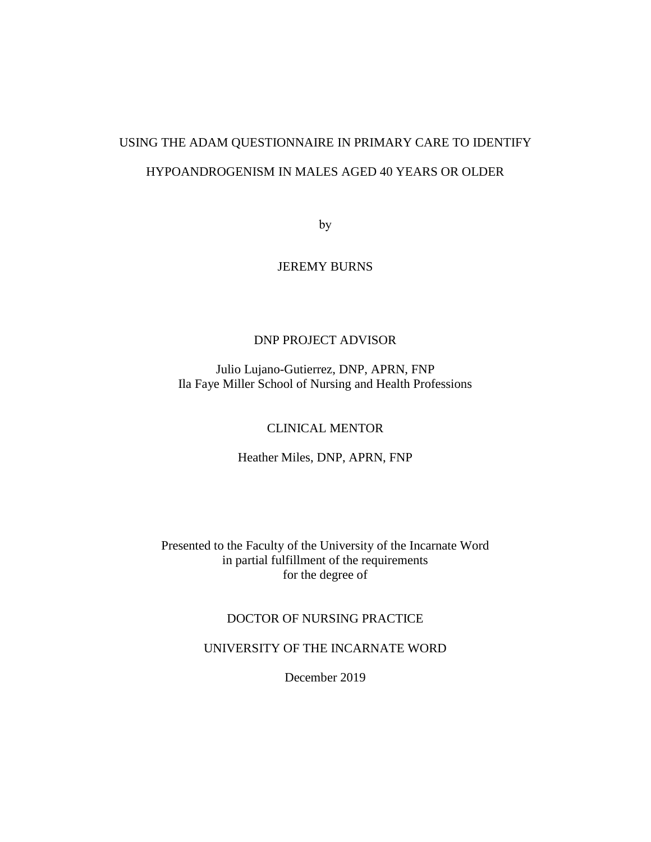# USING THE ADAM QUESTIONNAIRE IN PRIMARY CARE TO IDENTIFY HYPOANDROGENISM IN MALES AGED 40 YEARS OR OLDER

by

JEREMY BURNS

# DNP PROJECT ADVISOR

Julio Lujano-Gutierrez, DNP, APRN, FNP Ila Faye Miller School of Nursing and Health Professions

# CLINICAL MENTOR

Heather Miles, DNP, APRN, FNP

Presented to the Faculty of the University of the Incarnate Word in partial fulfillment of the requirements for the degree of

# DOCTOR OF NURSING PRACTICE

UNIVERSITY OF THE INCARNATE WORD

December 2019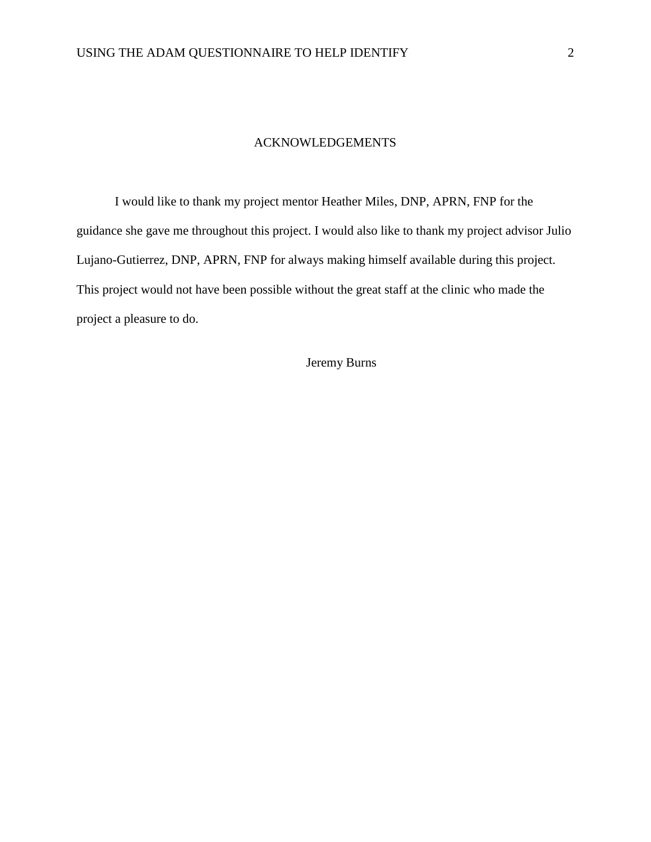# ACKNOWLEDGEMENTS

I would like to thank my project mentor Heather Miles, DNP, APRN, FNP for the guidance she gave me throughout this project. I would also like to thank my project advisor Julio Lujano-Gutierrez, DNP, APRN, FNP for always making himself available during this project. This project would not have been possible without the great staff at the clinic who made the project a pleasure to do.

Jeremy Burns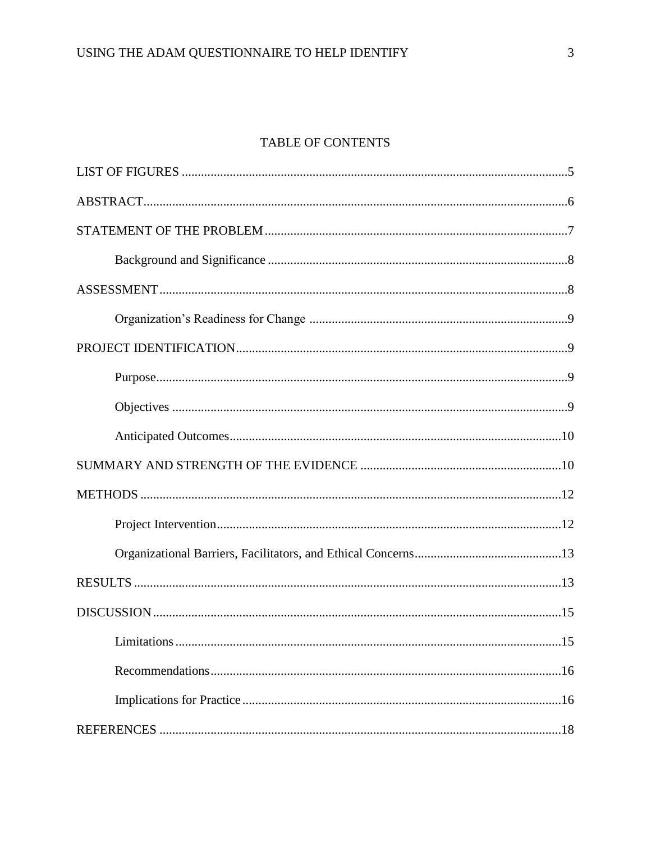# TABLE OF CONTENTS

| Limitations | .15 |
|-------------|-----|
|             |     |
|             |     |
|             |     |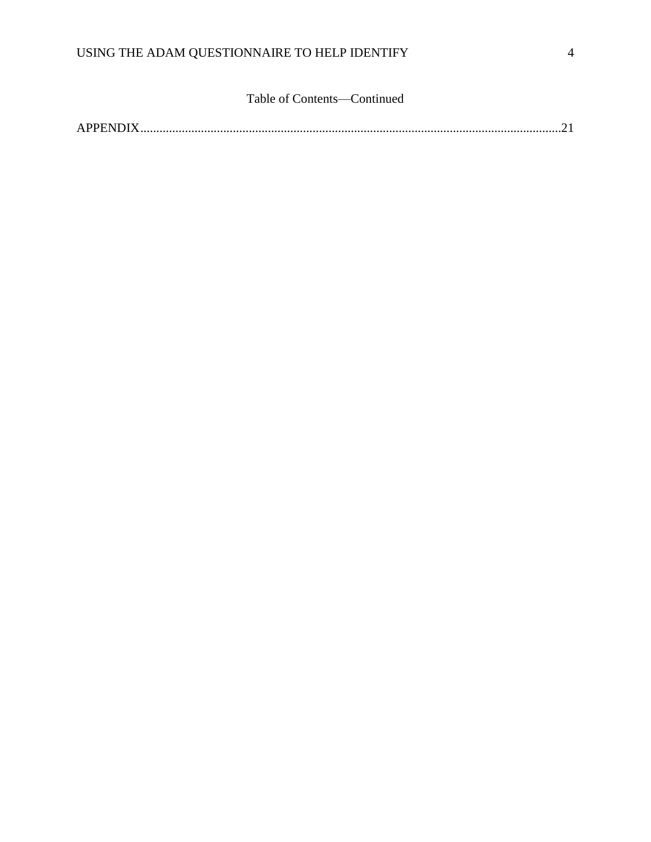# Table of Contents—Continued

|--|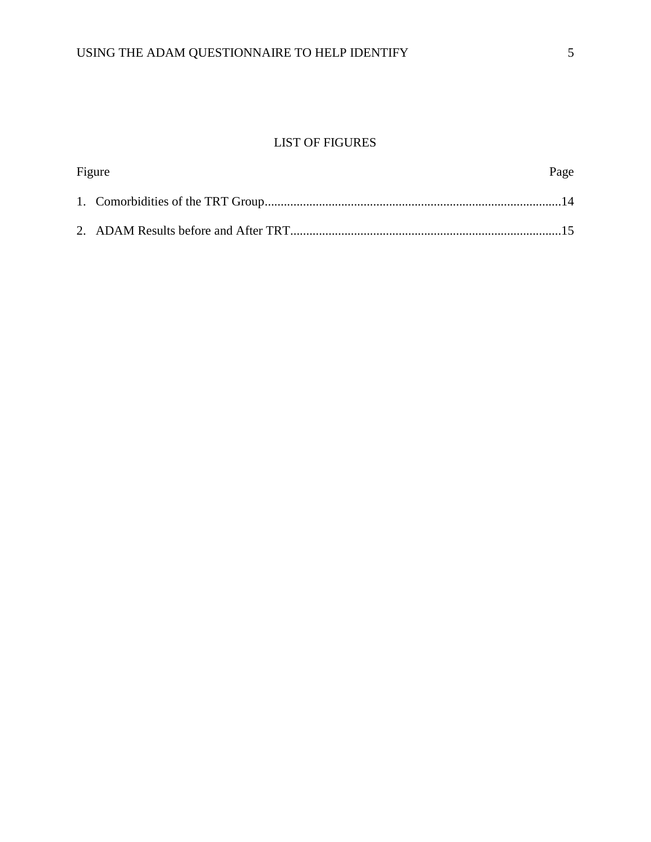# LIST OF FIGURES

| Figure |  | Page |  |
|--------|--|------|--|
|        |  |      |  |
|        |  |      |  |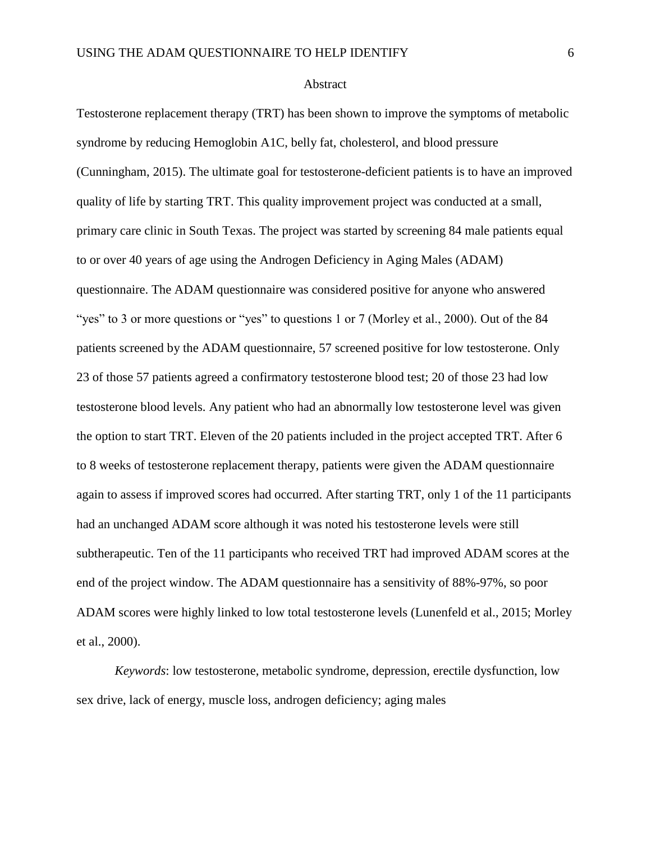#### Abstract

Testosterone replacement therapy (TRT) has been shown to improve the symptoms of metabolic syndrome by reducing Hemoglobin A1C, belly fat, cholesterol, and blood pressure (Cunningham, 2015). The ultimate goal for testosterone-deficient patients is to have an improved quality of life by starting TRT. This quality improvement project was conducted at a small, primary care clinic in South Texas. The project was started by screening 84 male patients equal to or over 40 years of age using the Androgen Deficiency in Aging Males (ADAM) questionnaire. The ADAM questionnaire was considered positive for anyone who answered "yes" to 3 or more questions or "yes" to questions 1 or 7 (Morley et al., 2000). Out of the 84 patients screened by the ADAM questionnaire, 57 screened positive for low testosterone. Only 23 of those 57 patients agreed a confirmatory testosterone blood test; 20 of those 23 had low testosterone blood levels. Any patient who had an abnormally low testosterone level was given the option to start TRT. Eleven of the 20 patients included in the project accepted TRT. After 6 to 8 weeks of testosterone replacement therapy, patients were given the ADAM questionnaire again to assess if improved scores had occurred. After starting TRT, only 1 of the 11 participants had an unchanged ADAM score although it was noted his testosterone levels were still subtherapeutic. Ten of the 11 participants who received TRT had improved ADAM scores at the end of the project window. The ADAM questionnaire has a sensitivity of 88%-97%, so poor ADAM scores were highly linked to low total testosterone levels (Lunenfeld et al., 2015; Morley et al., 2000).

*Keywords*: low testosterone, metabolic syndrome, depression, erectile dysfunction, low sex drive, lack of energy, muscle loss, androgen deficiency; aging males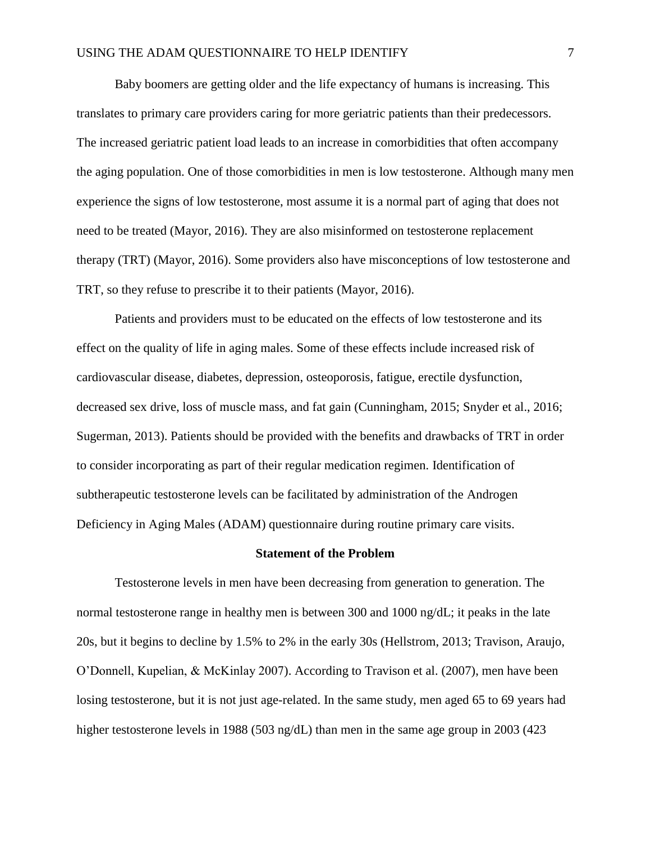Baby boomers are getting older and the life expectancy of humans is increasing. This translates to primary care providers caring for more geriatric patients than their predecessors. The increased geriatric patient load leads to an increase in comorbidities that often accompany the aging population. One of those comorbidities in men is low testosterone. Although many men experience the signs of low testosterone, most assume it is a normal part of aging that does not need to be treated (Mayor, 2016). They are also misinformed on testosterone replacement therapy (TRT) (Mayor, 2016). Some providers also have misconceptions of low testosterone and TRT, so they refuse to prescribe it to their patients (Mayor, 2016).

Patients and providers must to be educated on the effects of low testosterone and its effect on the quality of life in aging males. Some of these effects include increased risk of cardiovascular disease, diabetes, depression, osteoporosis, fatigue, erectile dysfunction, decreased sex drive, loss of muscle mass, and fat gain (Cunningham, 2015; Snyder et al., 2016; Sugerman, 2013). Patients should be provided with the benefits and drawbacks of TRT in order to consider incorporating as part of their regular medication regimen. Identification of subtherapeutic testosterone levels can be facilitated by administration of the Androgen Deficiency in Aging Males (ADAM) questionnaire during routine primary care visits.

#### **Statement of the Problem**

Testosterone levels in men have been decreasing from generation to generation. The normal testosterone range in healthy men is between 300 and 1000 ng/dL; it peaks in the late 20s, but it begins to decline by 1.5% to 2% in the early 30s (Hellstrom, 2013; Travison, Araujo, O'Donnell, Kupelian, & McKinlay 2007). According to Travison et al. (2007), men have been losing testosterone, but it is not just age-related. In the same study, men aged 65 to 69 years had higher testosterone levels in 1988 (503 ng/dL) than men in the same age group in 2003 (423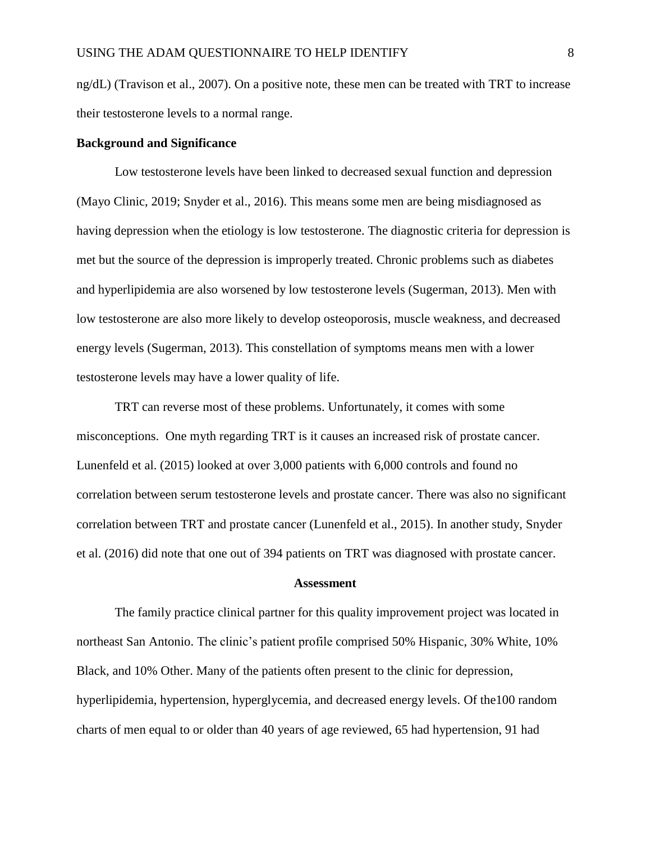ng/dL) (Travison et al., 2007). On a positive note, these men can be treated with TRT to increase their testosterone levels to a normal range.

## **Background and Significance**

Low testosterone levels have been linked to decreased sexual function and depression (Mayo Clinic, 2019; Snyder et al., 2016). This means some men are being misdiagnosed as having depression when the etiology is low testosterone. The diagnostic criteria for depression is met but the source of the depression is improperly treated. Chronic problems such as diabetes and hyperlipidemia are also worsened by low testosterone levels (Sugerman, 2013). Men with low testosterone are also more likely to develop osteoporosis, muscle weakness, and decreased energy levels (Sugerman, 2013). This constellation of symptoms means men with a lower testosterone levels may have a lower quality of life.

TRT can reverse most of these problems. Unfortunately, it comes with some misconceptions. One myth regarding TRT is it causes an increased risk of prostate cancer. Lunenfeld et al. (2015) looked at over 3,000 patients with 6,000 controls and found no correlation between serum testosterone levels and prostate cancer. There was also no significant correlation between TRT and prostate cancer (Lunenfeld et al., 2015). In another study, Snyder et al. (2016) did note that one out of 394 patients on TRT was diagnosed with prostate cancer.

#### **Assessment**

The family practice clinical partner for this quality improvement project was located in northeast San Antonio. The clinic's patient profile comprised 50% Hispanic, 30% White, 10% Black, and 10% Other. Many of the patients often present to the clinic for depression, hyperlipidemia, hypertension, hyperglycemia, and decreased energy levels. Of the100 random charts of men equal to or older than 40 years of age reviewed, 65 had hypertension, 91 had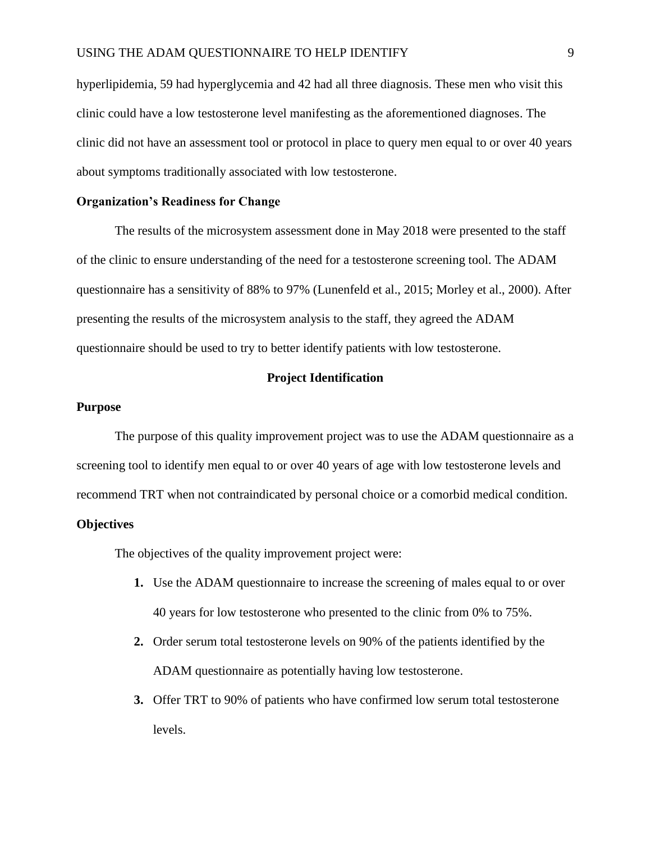hyperlipidemia, 59 had hyperglycemia and 42 had all three diagnosis. These men who visit this clinic could have a low testosterone level manifesting as the aforementioned diagnoses. The clinic did not have an assessment tool or protocol in place to query men equal to or over 40 years about symptoms traditionally associated with low testosterone.

## **Organization's Readiness for Change**

The results of the microsystem assessment done in May 2018 were presented to the staff of the clinic to ensure understanding of the need for a testosterone screening tool. The ADAM questionnaire has a sensitivity of 88% to 97% (Lunenfeld et al., 2015; Morley et al., 2000). After presenting the results of the microsystem analysis to the staff, they agreed the ADAM questionnaire should be used to try to better identify patients with low testosterone.

#### **Project Identification**

# **Purpose**

The purpose of this quality improvement project was to use the ADAM questionnaire as a screening tool to identify men equal to or over 40 years of age with low testosterone levels and recommend TRT when not contraindicated by personal choice or a comorbid medical condition.

### **Objectives**

The objectives of the quality improvement project were:

- **1.** Use the ADAM questionnaire to increase the screening of males equal to or over 40 years for low testosterone who presented to the clinic from 0% to 75%.
- **2.** Order serum total testosterone levels on 90% of the patients identified by the ADAM questionnaire as potentially having low testosterone.
- **3.** Offer TRT to 90% of patients who have confirmed low serum total testosterone levels.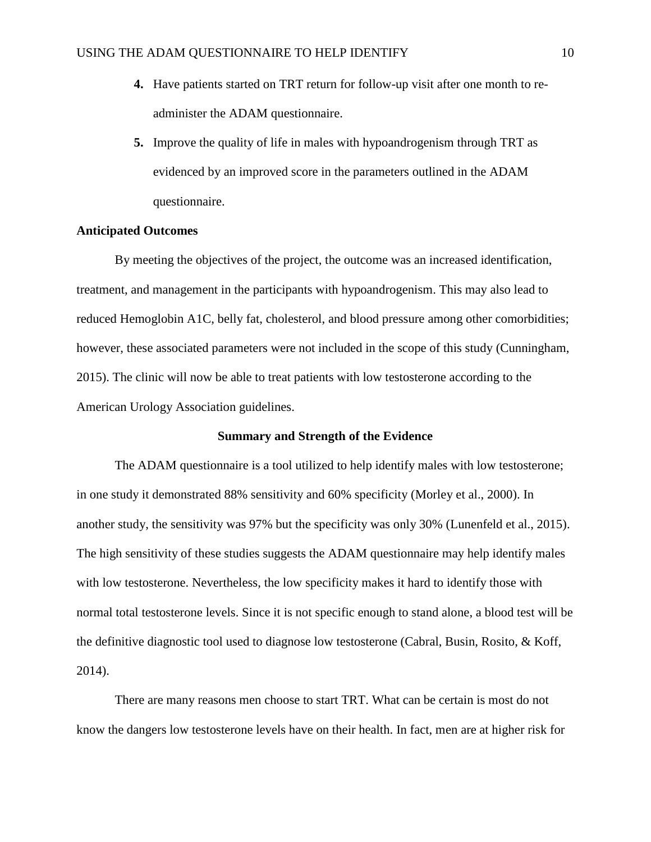- **4.** Have patients started on TRT return for follow-up visit after one month to readminister the ADAM questionnaire.
- **5.** Improve the quality of life in males with hypoandrogenism through TRT as evidenced by an improved score in the parameters outlined in the ADAM questionnaire.

# **Anticipated Outcomes**

By meeting the objectives of the project, the outcome was an increased identification, treatment, and management in the participants with hypoandrogenism. This may also lead to reduced Hemoglobin A1C, belly fat, cholesterol, and blood pressure among other comorbidities; however, these associated parameters were not included in the scope of this study (Cunningham, 2015). The clinic will now be able to treat patients with low testosterone according to the American Urology Association guidelines.

## **Summary and Strength of the Evidence**

The ADAM questionnaire is a tool utilized to help identify males with low testosterone; in one study it demonstrated 88% sensitivity and 60% specificity (Morley et al., 2000). In another study, the sensitivity was 97% but the specificity was only 30% (Lunenfeld et al., 2015). The high sensitivity of these studies suggests the ADAM questionnaire may help identify males with low testosterone. Nevertheless, the low specificity makes it hard to identify those with normal total testosterone levels. Since it is not specific enough to stand alone, a blood test will be the definitive diagnostic tool used to diagnose low testosterone (Cabral, Busin, Rosito, & Koff, 2014).

There are many reasons men choose to start TRT. What can be certain is most do not know the dangers low testosterone levels have on their health. In fact, men are at higher risk for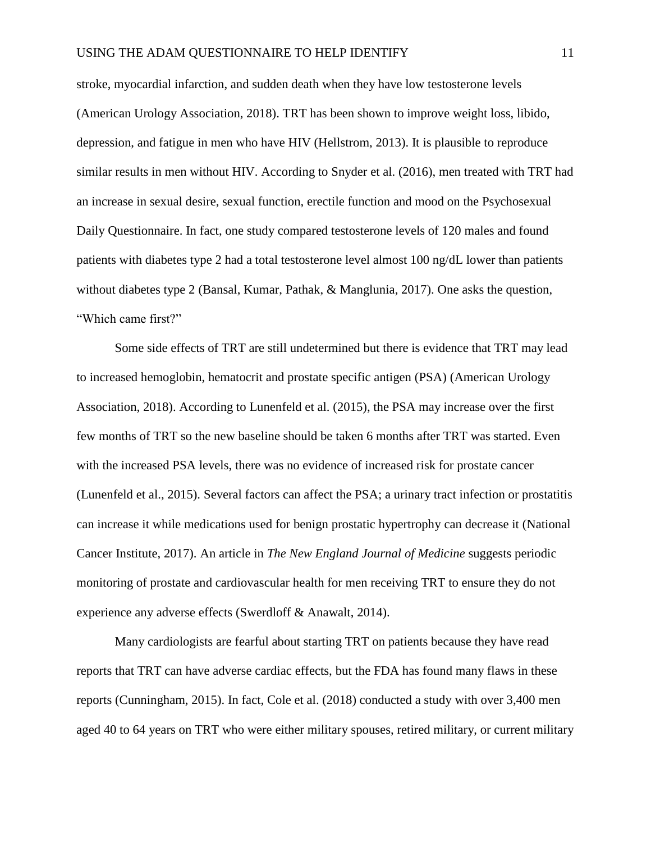stroke, myocardial infarction, and sudden death when they have low testosterone levels (American Urology Association, 2018). TRT has been shown to improve weight loss, libido, depression, and fatigue in men who have HIV (Hellstrom, 2013). It is plausible to reproduce similar results in men without HIV. According to Snyder et al. (2016), men treated with TRT had an increase in sexual desire, sexual function, erectile function and mood on the Psychosexual Daily Questionnaire. In fact, one study compared testosterone levels of 120 males and found patients with diabetes type 2 had a total testosterone level almost 100 ng/dL lower than patients without diabetes type 2 (Bansal, Kumar, Pathak, & Manglunia, 2017). One asks the question, "Which came first?"

Some side effects of TRT are still undetermined but there is evidence that TRT may lead to increased hemoglobin, hematocrit and prostate specific antigen (PSA) (American Urology Association, 2018). According to Lunenfeld et al. (2015), the PSA may increase over the first few months of TRT so the new baseline should be taken 6 months after TRT was started. Even with the increased PSA levels, there was no evidence of increased risk for prostate cancer (Lunenfeld et al., 2015). Several factors can affect the PSA; a urinary tract infection or prostatitis can increase it while medications used for benign prostatic hypertrophy can decrease it (National Cancer Institute, 2017). An article in *The New England Journal of Medicine* suggests periodic monitoring of prostate and cardiovascular health for men receiving TRT to ensure they do not experience any adverse effects (Swerdloff & Anawalt, 2014).

Many cardiologists are fearful about starting TRT on patients because they have read reports that TRT can have adverse cardiac effects, but the FDA has found many flaws in these reports (Cunningham, 2015). In fact, Cole et al. (2018) conducted a study with over 3,400 men aged 40 to 64 years on TRT who were either military spouses, retired military, or current military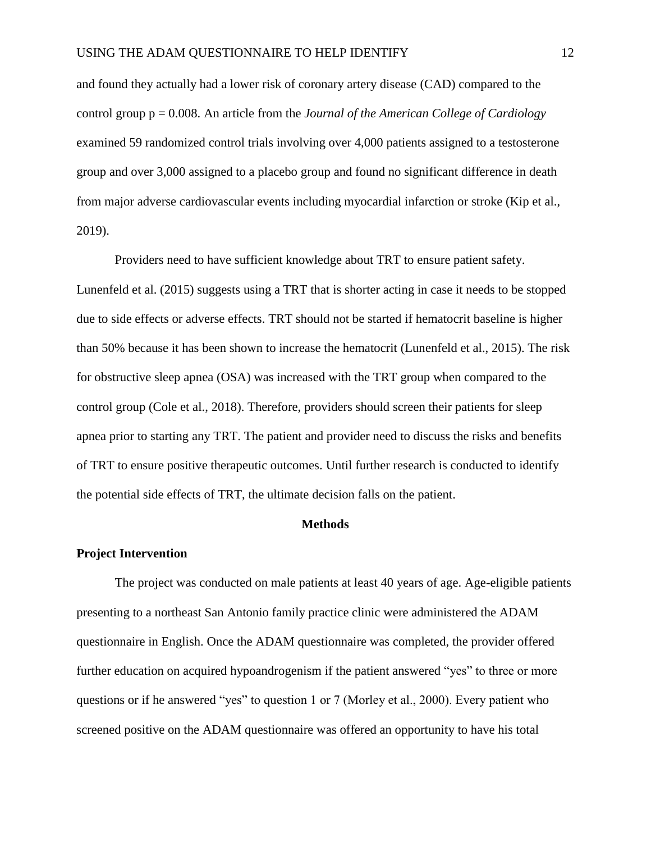and found they actually had a lower risk of coronary artery disease (CAD) compared to the control group p = 0.008. An article from the *Journal of the American College of Cardiology* examined 59 randomized control trials involving over 4,000 patients assigned to a testosterone group and over 3,000 assigned to a placebo group and found no significant difference in death from major adverse cardiovascular events including myocardial infarction or stroke (Kip et al., 2019).

Providers need to have sufficient knowledge about TRT to ensure patient safety. Lunenfeld et al. (2015) suggests using a TRT that is shorter acting in case it needs to be stopped due to side effects or adverse effects. TRT should not be started if hematocrit baseline is higher than 50% because it has been shown to increase the hematocrit (Lunenfeld et al., 2015). The risk for obstructive sleep apnea (OSA) was increased with the TRT group when compared to the control group (Cole et al., 2018). Therefore, providers should screen their patients for sleep apnea prior to starting any TRT. The patient and provider need to discuss the risks and benefits of TRT to ensure positive therapeutic outcomes. Until further research is conducted to identify the potential side effects of TRT, the ultimate decision falls on the patient.

#### **Methods**

## **Project Intervention**

The project was conducted on male patients at least 40 years of age. Age-eligible patients presenting to a northeast San Antonio family practice clinic were administered the ADAM questionnaire in English. Once the ADAM questionnaire was completed, the provider offered further education on acquired hypoandrogenism if the patient answered "yes" to three or more questions or if he answered "yes" to question 1 or 7 (Morley et al., 2000). Every patient who screened positive on the ADAM questionnaire was offered an opportunity to have his total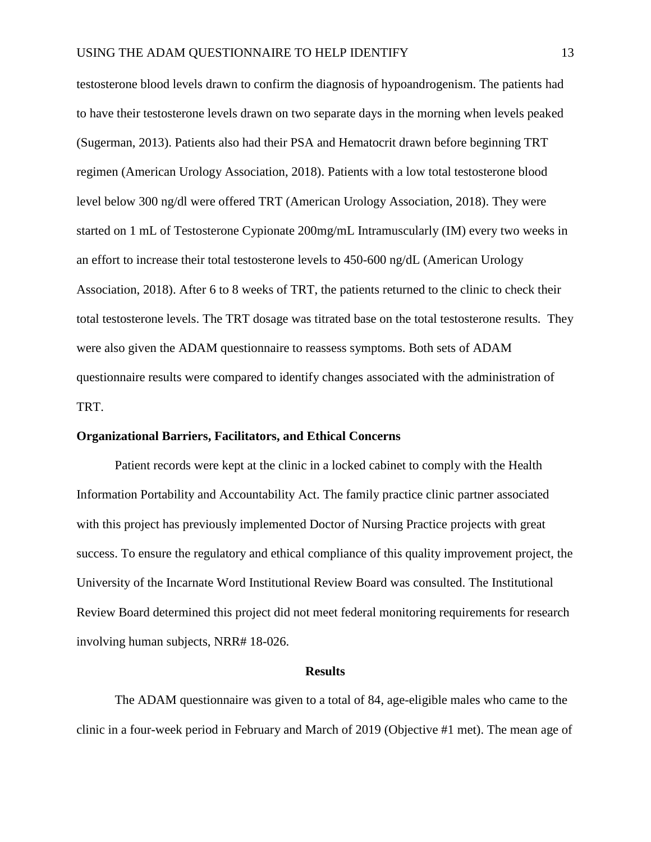testosterone blood levels drawn to confirm the diagnosis of hypoandrogenism. The patients had to have their testosterone levels drawn on two separate days in the morning when levels peaked (Sugerman, 2013). Patients also had their PSA and Hematocrit drawn before beginning TRT regimen (American Urology Association, 2018). Patients with a low total testosterone blood level below 300 ng/dl were offered TRT (American Urology Association, 2018). They were started on 1 mL of Testosterone Cypionate 200mg/mL Intramuscularly (IM) every two weeks in an effort to increase their total testosterone levels to 450-600 ng/dL (American Urology Association, 2018). After 6 to 8 weeks of TRT, the patients returned to the clinic to check their total testosterone levels. The TRT dosage was titrated base on the total testosterone results. They were also given the ADAM questionnaire to reassess symptoms. Both sets of ADAM questionnaire results were compared to identify changes associated with the administration of TRT.

## **Organizational Barriers, Facilitators, and Ethical Concerns**

Patient records were kept at the clinic in a locked cabinet to comply with the Health Information Portability and Accountability Act. The family practice clinic partner associated with this project has previously implemented Doctor of Nursing Practice projects with great success. To ensure the regulatory and ethical compliance of this quality improvement project, the University of the Incarnate Word Institutional Review Board was consulted. The Institutional Review Board determined this project did not meet federal monitoring requirements for research involving human subjects, NRR# 18-026.

#### **Results**

The ADAM questionnaire was given to a total of 84, age-eligible males who came to the clinic in a four-week period in February and March of 2019 (Objective #1 met). The mean age of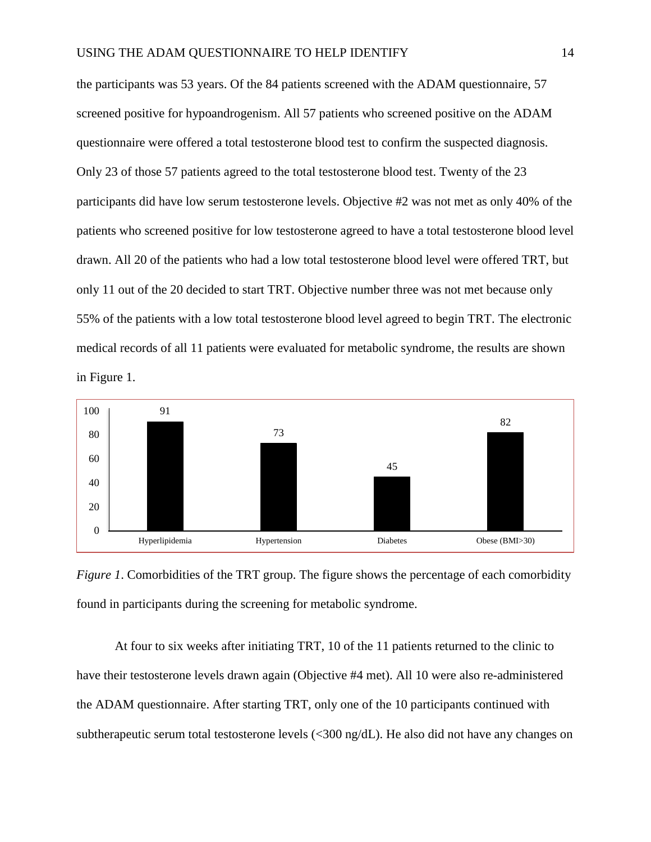the participants was 53 years. Of the 84 patients screened with the ADAM questionnaire, 57 screened positive for hypoandrogenism. All 57 patients who screened positive on the ADAM questionnaire were offered a total testosterone blood test to confirm the suspected diagnosis. Only 23 of those 57 patients agreed to the total testosterone blood test. Twenty of the 23 participants did have low serum testosterone levels. Objective #2 was not met as only 40% of the patients who screened positive for low testosterone agreed to have a total testosterone blood level drawn. All 20 of the patients who had a low total testosterone blood level were offered TRT, but only 11 out of the 20 decided to start TRT. Objective number three was not met because only 55% of the patients with a low total testosterone blood level agreed to begin TRT. The electronic medical records of all 11 patients were evaluated for metabolic syndrome, the results are shown in Figure 1.



*Figure 1.* Comorbidities of the TRT group. The figure shows the percentage of each comorbidity found in participants during the screening for metabolic syndrome.

At four to six weeks after initiating TRT, 10 of the 11 patients returned to the clinic to have their testosterone levels drawn again (Objective #4 met). All 10 were also re-administered the ADAM questionnaire. After starting TRT, only one of the 10 participants continued with subtherapeutic serum total testosterone levels (<300 ng/dL). He also did not have any changes on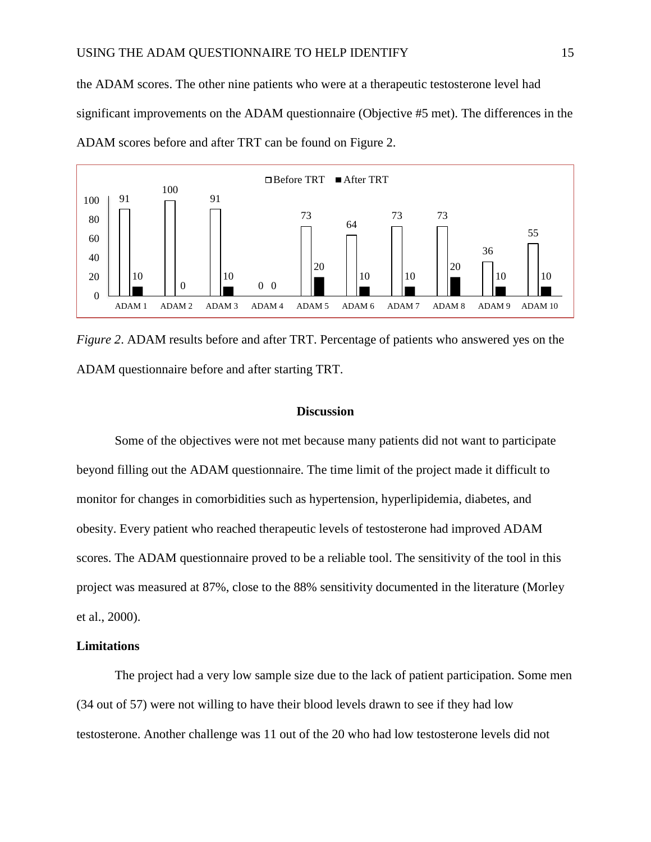the ADAM scores. The other nine patients who were at a therapeutic testosterone level had significant improvements on the ADAM questionnaire (Objective #5 met). The differences in the ADAM scores before and after TRT can be found on Figure 2.



*Figure 2.* ADAM results before and after TRT. Percentage of patients who answered yes on the ADAM questionnaire before and after starting TRT.

## **Discussion**

Some of the objectives were not met because many patients did not want to participate beyond filling out the ADAM questionnaire. The time limit of the project made it difficult to monitor for changes in comorbidities such as hypertension, hyperlipidemia, diabetes, and obesity. Every patient who reached therapeutic levels of testosterone had improved ADAM scores. The ADAM questionnaire proved to be a reliable tool. The sensitivity of the tool in this project was measured at 87%, close to the 88% sensitivity documented in the literature (Morley et al., 2000).

## **Limitations**

The project had a very low sample size due to the lack of patient participation. Some men (34 out of 57) were not willing to have their blood levels drawn to see if they had low testosterone. Another challenge was 11 out of the 20 who had low testosterone levels did not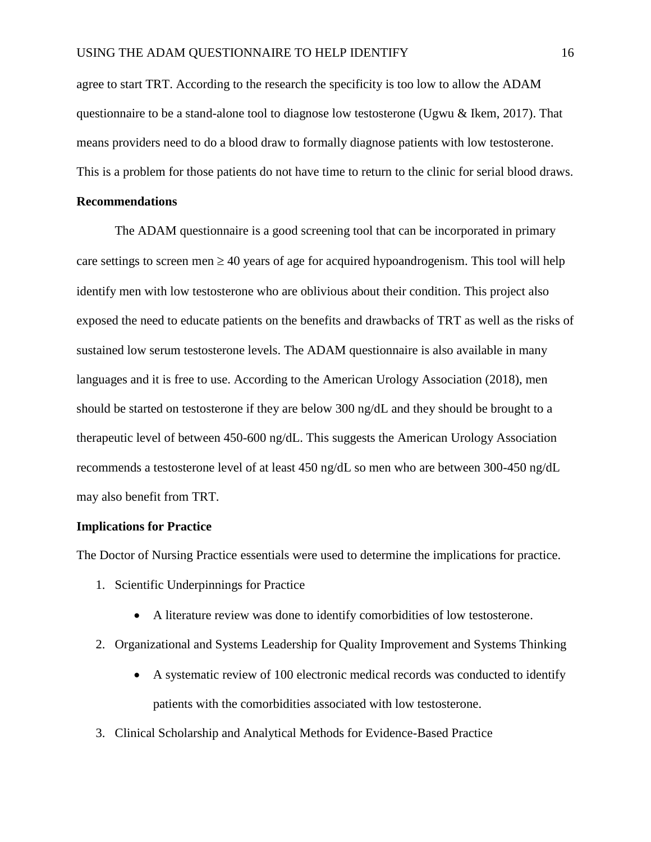agree to start TRT. According to the research the specificity is too low to allow the ADAM questionnaire to be a stand-alone tool to diagnose low testosterone (Ugwu & Ikem, 2017). That means providers need to do a blood draw to formally diagnose patients with low testosterone. This is a problem for those patients do not have time to return to the clinic for serial blood draws.

## **Recommendations**

The ADAM questionnaire is a good screening tool that can be incorporated in primary care settings to screen men  $\geq$  40 years of age for acquired hypoandrogenism. This tool will help identify men with low testosterone who are oblivious about their condition. This project also exposed the need to educate patients on the benefits and drawbacks of TRT as well as the risks of sustained low serum testosterone levels. The ADAM questionnaire is also available in many languages and it is free to use. According to the American Urology Association (2018), men should be started on testosterone if they are below 300 ng/dL and they should be brought to a therapeutic level of between 450-600 ng/dL. This suggests the American Urology Association recommends a testosterone level of at least 450 ng/dL so men who are between 300-450 ng/dL may also benefit from TRT.

## **Implications for Practice**

The Doctor of Nursing Practice essentials were used to determine the implications for practice.

- 1. Scientific Underpinnings for Practice
	- A literature review was done to identify comorbidities of low testosterone.
- 2. Organizational and Systems Leadership for Quality Improvement and Systems Thinking
	- A systematic review of 100 electronic medical records was conducted to identify patients with the comorbidities associated with low testosterone.
- 3. Clinical Scholarship and Analytical Methods for Evidence-Based Practice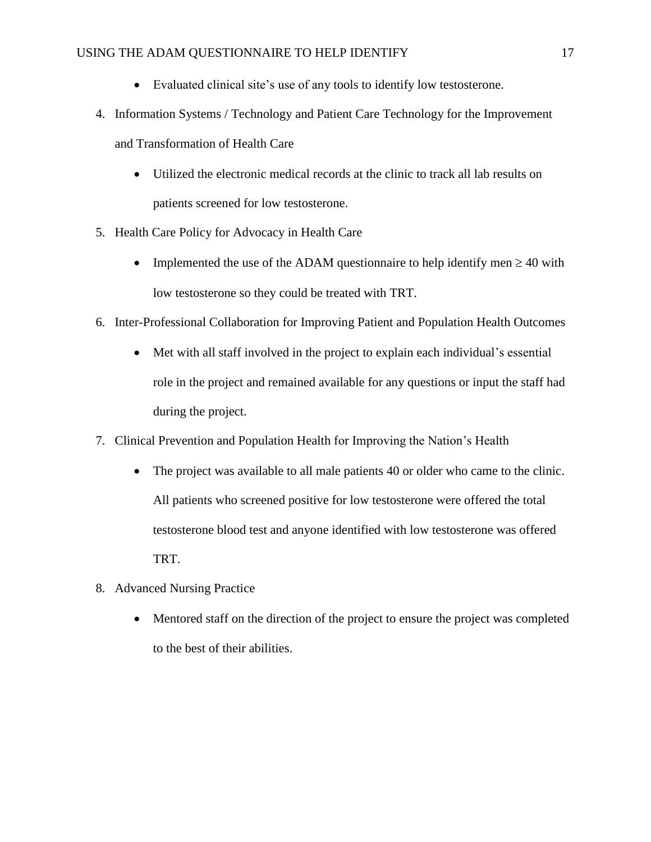- Evaluated clinical site's use of any tools to identify low testosterone.
- 4. Information Systems / Technology and Patient Care Technology for the Improvement and Transformation of Health Care
	- Utilized the electronic medical records at the clinic to track all lab results on patients screened for low testosterone.
- 5. Health Care Policy for Advocacy in Health Care
	- Implemented the use of the ADAM questionnaire to help identify men  $\geq 40$  with low testosterone so they could be treated with TRT.
- 6. Inter-Professional Collaboration for Improving Patient and Population Health Outcomes
	- Met with all staff involved in the project to explain each individual's essential role in the project and remained available for any questions or input the staff had during the project.
- 7. Clinical Prevention and Population Health for Improving the Nation's Health
	- The project was available to all male patients 40 or older who came to the clinic. All patients who screened positive for low testosterone were offered the total testosterone blood test and anyone identified with low testosterone was offered TRT.
- 8. Advanced Nursing Practice
	- Mentored staff on the direction of the project to ensure the project was completed to the best of their abilities.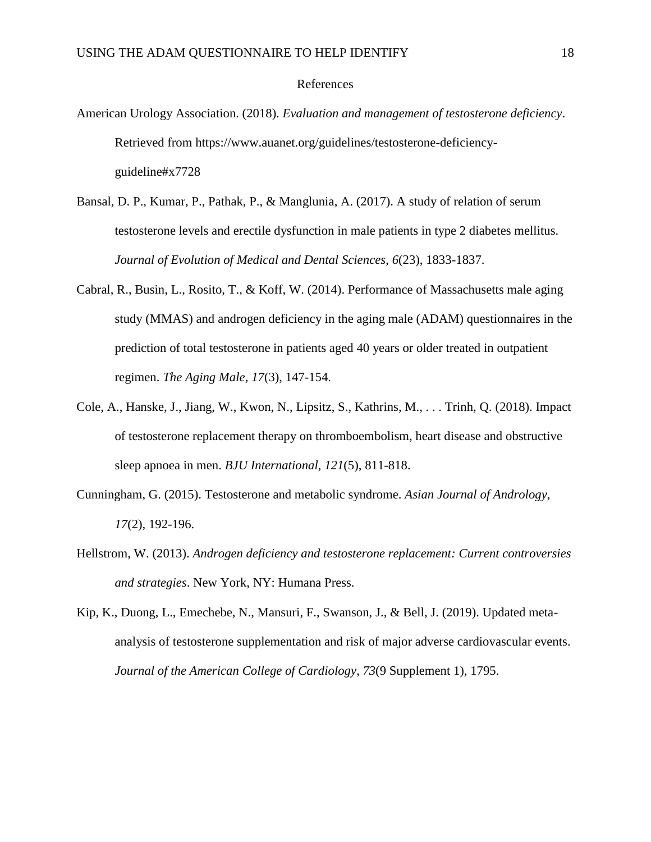#### References

- American Urology Association. (2018). *Evaluation and management of testosterone deficiency*. Retrieved from https://www.auanet.org/guidelines/testosterone-deficiencyguideline#x7728
- Bansal, D. P., Kumar, P., Pathak, P., & Manglunia, A. (2017). A study of relation of serum testosterone levels and erectile dysfunction in male patients in type 2 diabetes mellitus. *Journal of Evolution of Medical and Dental Sciences*, *6*(23), 1833-1837.
- Cabral, R., Busin, L., Rosito, T., & Koff, W. (2014). Performance of Massachusetts male aging study (MMAS) and androgen deficiency in the aging male (ADAM) questionnaires in the prediction of total testosterone in patients aged 40 years or older treated in outpatient regimen. *The Aging Male, 17*(3), 147-154.
- Cole, A., Hanske, J., Jiang, W., Kwon, N., Lipsitz, S., Kathrins, M., . . . Trinh, Q. (2018). Impact of testosterone replacement therapy on thromboembolism, heart disease and obstructive sleep apnoea in men. *BJU International*, *121*(5), 811-818.
- Cunningham, G. (2015). Testosterone and metabolic syndrome. *Asian Journal of Andrology, 17*(2), 192-196.
- Hellstrom, W. (2013). *Androgen deficiency and testosterone replacement: Current controversies and strategies*. New York, NY: Humana Press.
- Kip, K., Duong, L., Emechebe, N., Mansuri, F., Swanson, J., & Bell, J. (2019). Updated metaanalysis of testosterone supplementation and risk of major adverse cardiovascular events. *Journal of the American College of Cardiology*, *73*(9 Supplement 1), 1795.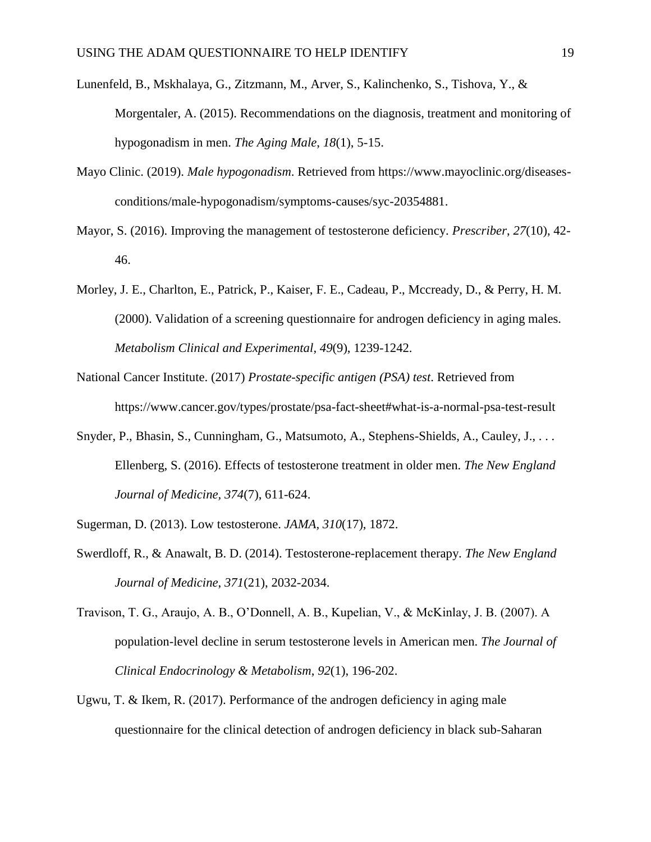- Lunenfeld, B., Mskhalaya, G., Zitzmann, M., Arver, S., Kalinchenko, S., Tishova, Y., & Morgentaler, A. (2015). Recommendations on the diagnosis, treatment and monitoring of hypogonadism in men. *The Aging Male*, *18*(1), 5-15.
- Mayo Clinic. (2019). *Male hypogonadism*. Retrieved from https://www.mayoclinic.org/diseasesconditions/male-hypogonadism/symptoms-causes/syc-20354881.
- Mayor, S. (2016). Improving the management of testosterone deficiency. *Prescriber*, *27*(10), 42- 46.
- Morley, J. E., Charlton, E., Patrick, P., Kaiser, F. E., Cadeau, P., Mccready, D., & Perry, H. M. (2000). Validation of a screening questionnaire for androgen deficiency in aging males. *Metabolism Clinical and Experimental*, *49*(9), 1239-1242.
- National Cancer Institute. (2017) *Prostate-specific antigen (PSA) test*. Retrieved from https://www.cancer.gov/types/prostate/psa-fact-sheet#what-is-a-normal-psa-test-result
- Snyder, P., Bhasin, S., Cunningham, G., Matsumoto, A., Stephens-Shields, A., Cauley, J., . . . Ellenberg, S. (2016). Effects of testosterone treatment in older men. *The New England Journal of Medicine, 374*(7), 611-624.
- Sugerman, D. (2013). Low testosterone. *JAMA, 310*(17), 1872.
- Swerdloff, R., & Anawalt, B. D. (2014). Testosterone-replacement therapy. *The New England Journal of Medicine*, *371*(21), 2032-2034.
- Travison, T. G., Araujo, A. B., O'Donnell, A. B., Kupelian, V., & McKinlay, J. B. (2007). A population-level decline in serum testosterone levels in American men. *The Journal of Clinical Endocrinology & Metabolism*, *92*(1), 196-202.
- Ugwu, T. & Ikem, R. (2017). Performance of the androgen deficiency in aging male questionnaire for the clinical detection of androgen deficiency in black sub-Saharan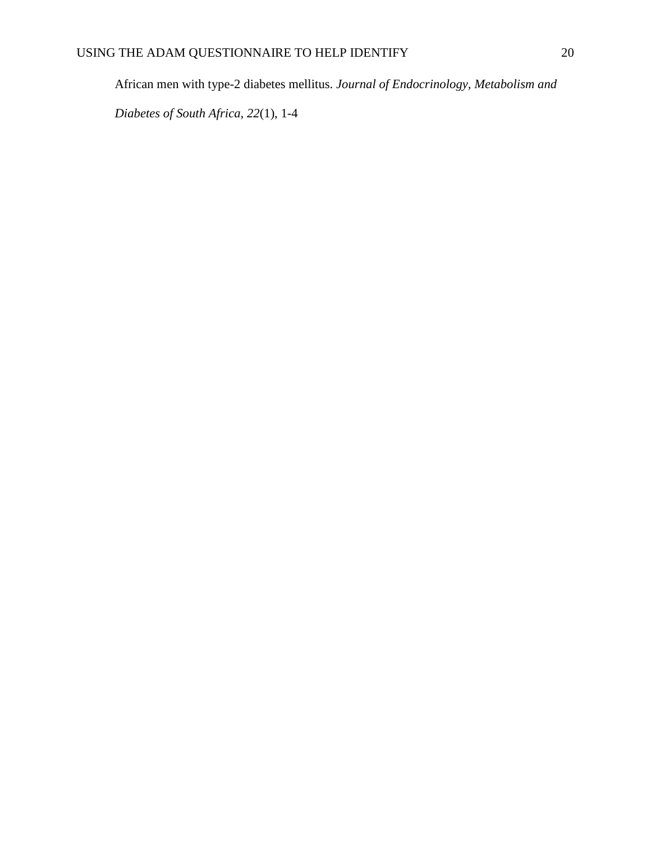African men with type-2 diabetes mellitus. *Journal of Endocrinology, Metabolism and* 

*Diabetes of South Africa*, *22*(1), 1-4